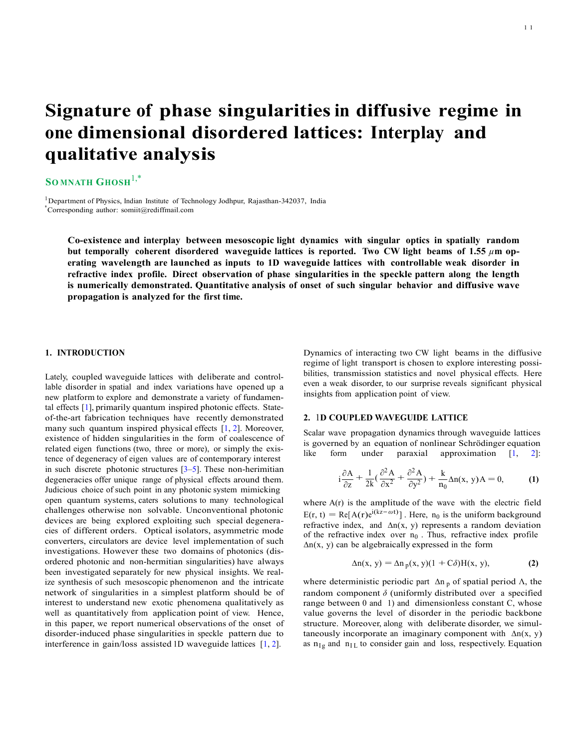# **Signature of phase singularities in diffusive regime in one dimensional disordered lattices: Interplay and qualitative analysis**

# $S$ **O MNATH GHOSH**<sup>1,\*</sup>

<sup>1</sup>Department of Physics, Indian Institute of Technology Jodhpur, Rajasthan-342037, India \*Corresponding author: [somiit@rediffmail.com](mailto:somiit@rediffmail.com)

**Co-existence and interplay between mesoscopic light dynamics with singular optics in spatially random but temporally coherent disordered waveguide lattices is reported. Two CW light beams of 1.55** *µ***m operating wavelength are launched as inputs to 1D waveguide lattices with controllable weak disorder in refractive index profile. Direct observation of phase singularities in the speckle pattern along the length is numerically demonstrated. Quantitative analysis of onset of such singular behavior and diffusive wave propagation is analyzed for the first time.** 

#### **1. INTRODUCTION**

Lately, coupled waveguide lattices with deliberate and controllable disorder in spatial and index variations have opened up a new platform to explore and demonstrate a variety of fundamental effects [1], primarily quantum inspired photonic effects. Stateof-the-art fabrication techniques have recently demonstrated many such quantum inspired physical effects [1, 2]. Moreover, existence of hidden singularities in the form of coalescence of related eigen functions (two, three or more), or simply the existence of degeneracy of eigen values are of contemporary interest in such discrete photonic structures  $[3-5]$ . These non-herimitian degeneracies offer unique range of physical effects around them. Judicious choice of such point in any photonic system mimicking open quantum systems, caters solutions to many technological challenges otherwise non solvable. Unconventional photonic devices are being explored exploiting such special degeneracies of different orders. Optical isolators, asymmetric mode converters, circulators are device level implementation of such investigations. However these two domains of photonics (disordered photonic and non-hermitian singularities) have always been investigated separately for new physical insights. We realize synthesis of such mesoscopic phenomenon and the intricate network of singularities in a simplest platform should be of interest to understand new exotic phenomena qualitatively as well as quantitatively from application point of view. Hence, in this paper, we report numerical observations of the onset of disorder-induced phase singularities in speckle pattern due to interference in gain/loss assisted 1D waveguide lattices [1, 2].

Dynamics of interacting two CW light beams in the diffusive regime of light transport is chosen to explore interesting possibilities, transmission statistics and novel physical effects. Here even a weak disorder, to our surprise reveals significant physical insights from application point of view.

#### **2.** 1**D COUPLED WAVEGUIDE LATTICE**

Scalar wave propagation dynamics through waveguide lattices is governed by an equation of nonlinear Schrödinger equation like form under paraxial approximation [1, 2]:

$$
i\frac{\partial A}{\partial z} + \frac{1}{2k}(\frac{\partial^2 A}{\partial x^2} + \frac{\partial^2 A}{\partial y^2}) + \frac{k}{n_0}\Delta n(x, y)A = 0,
$$
 (1)

where A(r) is the amplitude of the wave with the electric field  $E(r, t) = Re[A(r)e^{i(kz - \omega t)}]$ . Here, n<sub>0</sub> is the uniform background refractive index, and ∆n(x, y) represents a random deviation of the refractive index over  $n_0$ . Thus, refractive index profile  $\Delta n(x, y)$  can be algebraically expressed in the form

$$
\Delta n(x, y) = \Delta n_p(x, y)(1 + C\delta)H(x, y),
$$
 (2)

where deterministic periodic part  $\Delta n_p$  of spatial period  $\Lambda$ , the random component *δ* (uniformly distributed over a specified range between 0 and 1) and dimensionless constant C, whose value governs the level of disorder in the periodic backbone structure. Moreover, along with deliberate disorder, we simultaneously incorporate an imaginary component with  $\Delta n(x, y)$ as  $n_{Ig}$  and  $n_{IL}$  to consider gain and loss, respectively. Equation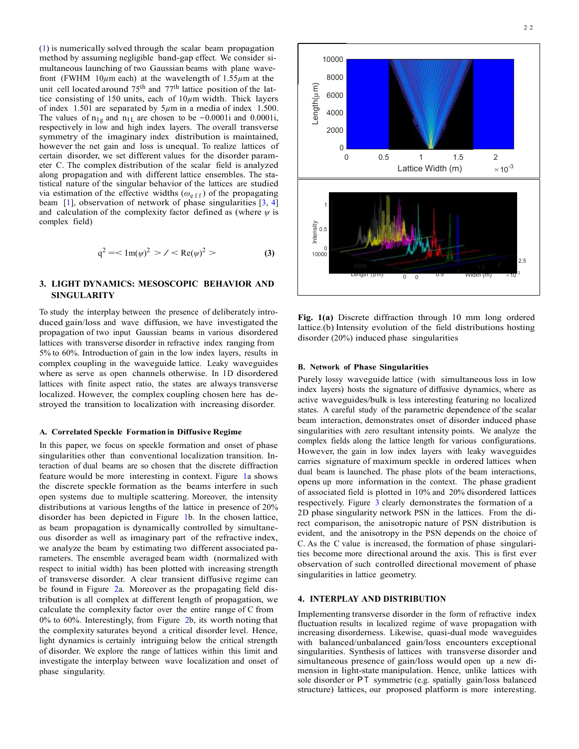(1) is numerically solved through the scalar beam propagation method by assuming negligible band-gap effect. We consider simultaneous launching of two Gaussian beams with plane wavefront (FWHM 10 $\mu$ m each) at the wavelength of 1.55 $\mu$ m at the unit cell located around 75<sup>th</sup> and 77<sup>th</sup> lattice position of the lattice consisting of 150 units, each of 10 $\mu$ m width. Thick layers of index 1.501 are se unit cell located around 75<sup>th</sup> and 77<sup>th</sup> lattice position of the lattice consisting of 150 units, each of 10*µ*m width. Thick layers of index 1.501 are separated by 5*µ*m in a media of index 1.500. The values of  $n_{Ig}$  and  $n_{IL}$  are chosen to be −0.0001i and 0.0001i, respectively in low and high index layers. The overall transverse symmetry of the imaginary index distribution is maintained, however the net gain and loss is unequal. To realize lattices of certain disorder, we set different values for the disorder parameter C. The complex distribution of the scalar field is analyzed along propagation and with different lattice ensembles. The statistical nature of the singular behavior of the lattices are studied via estimation of the effective widths ( $ω<sub>e f f</sub>$ ) of the propagating beam [1], observation of network of phase singularities [3, 4] and calculation of the complexity factor defined as (where  $\psi$  is complex field)

$$
q^2 = \langle Im(\psi)^2 \rangle / \langle Re(\psi)^2 \rangle
$$
 (3)

## **3. LIGHT DYNAMICS: MESOSCOPIC BEHAVIOR AND SINGULARITY**

To study the interplay between the presence of deliberately introduced gain/loss and wave diffusion, we have investigated the propagation of two input Gaussian beams in various disordered lattices with transverse disorder in refractive index ranging from 5% to 60%. Introduction of gain in the low index layers, results in complex coupling in the waveguide lattice. Leaky waveguides where as serve as open channels otherwise. In 1D disordered lattices with finite aspect ratio, the states are always transverse localized. However, the complex coupling chosen here has destroyed the transition to localization with increasing disorder.

#### **A. Correlated Speckle Formation in Diffusive Regime**

In this paper, we focus on speckle formation and onset of phase singularities other than conventional localization transition. Interaction of dual beams are so chosen that the discrete diffraction feature would be more interesting in context. Figure 1a shows the discrete speckle formation as the beams interfere in such open systems due to multiple scattering. Moreover, the intensity distributions at various lengths of the lattice in presence of 20% disorder has been depicted in Figure 1b. In the chosen lattice, as beam propagation is dynamically controlled by simultaneous disorder as well as imaginary part of the refractive index, we analyze the beam by estimating two different associated parameters. The ensemble averaged beam width (normalized with respect to initial width) has been plotted with increasing strength of transverse disorder. A clear transient diffusive regime can be found in Figure 2a. Moreover as the propagating field distribution is all complex at different length of propagation, we calculate the complexity factor over the entire range of C from 0% to 60%. Interestingly, from Figure 2b, its worth noting that the complexity saturates beyond a critical disorder level. Hence, light dynamics is certainly intriguing below the critical strength of disorder. We explore the range of lattices within this limit and investigate the interplay between wave localization and onset of phase singularity.



**Fig. 1(a)** Discrete diffraction through 10 mm long ordered lattice.(b) Intensity evolution of the field distributions hosting disorder (20%) induced phase singularities

#### **B. Network of Phase Singularities**

Purely lossy waveguide lattice (with simultaneous loss in low index layers) hosts the signature of diffusive dynamics, where as active waveguides/bulk is less interesting featuring no localized states. A careful study of the parametric dependence of the scalar beam interaction, demonstrates onset of disorder induced phase singularities with zero resultant intensity points. We analyze the complex fields along the lattice length for various configurations. However, the gain in low index layers with leaky waveguides carries signature of maximum speckle in ordered lattices when dual beam is launched. The phase plots of the beam interactions, opens up more information in the context. The phase gradient of associated field is plotted in 10% and 20% disordered lattices respectively. Figure 3 clearly demonstrates the formation of a 2D phase singularity network PSN in the lattices. From the direct comparison, the anisotropic nature of PSN distribution is evident, and the anisotropy in the PSN depends on the choice of C. As the C value is increased, the formation of phase singularities become more directional around the axis. This is first ever observation of such controlled directional movement of phase singularities in lattice geometry.

#### **4. INTERPLAY AND DISTRIBUTION**

Implementing transverse disorder in the form of refractive index fluctuation results in localized regime of wave propagation with increasing disorderness. Likewise, quasi-dual mode waveguides with balanced/unbalanced gain/loss encounters exceptional singularities. Synthesis of lattices with transverse disorder and simultaneous presence of gain/loss would open up a new dimension in light-state manipulation. Hence, unlike lattices with sole disorder or PT symmetric (e.g. spatially gain/loss balanced structure) lattices, our proposed platform is more interesting.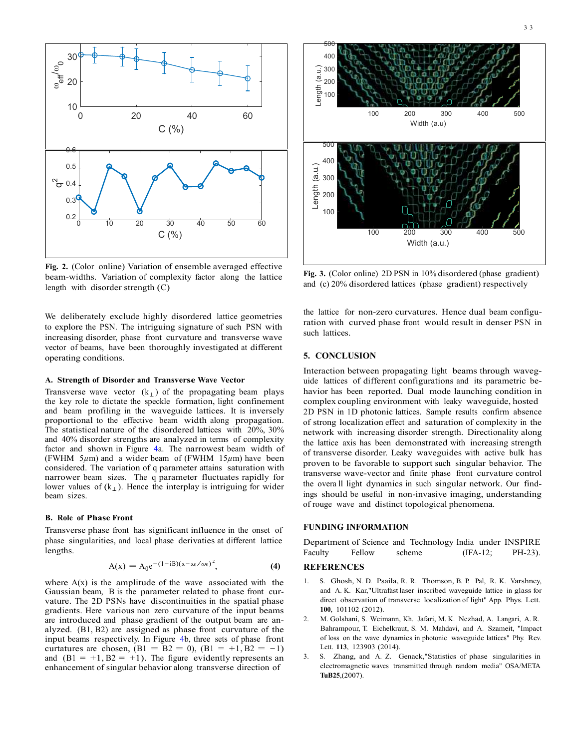

**Fig. 2.** (Color online) Variation of ensemble averaged effective beam-widths. Variation of complexity factor along the lattice length with disorder strength (C)

We deliberately exclude highly disordered lattice geometries to explore the PSN. The intriguing signature of such PSN with increasing disorder, phase front curvature and transverse wave vector of beams, have been thoroughly investigated at different operating conditions.

#### **A. Strength of Disorder and Transverse Wave Vector**

Transverse wave vector  $(k_+)$  of the propagating beam plays the key role to dictate the speckle formation, light confinement and beam profiling in the waveguide lattices. It is inversely proportional to the effective beam width along propagation. The statistical nature of the disordered lattices with 20%, 30% and 40% disorder strengths are analyzed in terms of complexity factor and shown in Figure 4a. The narrowest beam width of (FWHM  $5\mu$ m) and a wider beam of (FWHM  $15\mu$ m) have been considered. The variation of q parameter attains saturation with narrower beam sizes. The q parameter fluctuates rapidly for lower values of  $(k_{\perp})$ . Hence the interplay is intriguing for wider beam sizes.

#### **B. Role of Phase Front**

Transverse phase front has significant influence in the onset of phase singularities, and local phase derivaties at different lattice lengths.

$$
A(x) = A_0 e^{-(1-iB)(x-x_0/\omega_0)^2}, \qquad (4)
$$

where  $A(x)$  is the amplitude of the wave associated with the Gaussian beam, B is the parameter related to phase front curvature. The 2D PSNs have discontinuities in the spatial phase gradients. Here various non zero curvature of the input beams are introduced and phase gradient of the output beam are analyzed. (B1, B2) are assigned as phase front curvature of the input beams respectively. In Figure 4b, three sets of phase front curtatures are chosen,  $(B1 = B2 = 0)$ ,  $(B1 = +1, B2 = -1)$ and  $(B1 = +1, B2 = +1)$ . The figure evidently represents an enhancement of singular behavior along transverse direction of



**Fig. 3.** (Color online) 2D PSN in 10% disordered (phase gradient) and (c) 20% disordered lattices (phase gradient) respectively

the lattice for non-zero curvatures. Hence dual beam configuration with curved phase front would result in denser PSN in such lattices.

### **5. CONCLUSION**

Interaction between propagating light beams through waveguide lattices of different configurations and its parametric behavior has been reported. Dual mode launching condition in complex coupling environment with leaky waveguide, hosted 2D PSN in 1D photonic lattices. Sample results confirm absence of strong localization effect and saturation of complexity in the network with increasing disorder strength. Directionality along the lattice axis has been demonstrated with increasing strength of transverse disorder. Leaky waveguides with active bulk has proven to be favorable to support such singular behavior. The transverse wave-vector and finite phase front curvature control the overa ll light dynamics in such singular network. Our findings should be useful in non-invasive imaging, understanding of rouge wave and distinct topological phenomena.

#### **FUNDING INFORMATION**

Department of Science and Technology India under INSPIRE Faculty Fellow scheme (IFA-12; PH-23).

# **REFERENCES**

- 1. S. Ghosh, N. D. Psaila, R. R. Thomson, B. P. Pal, R. K. Varshney, and A. K. Kar,"Ultrafast laser inscribed waveguide lattice in glass for direct observation of transverse localization of light" App. Phys. Lett. **100**, 101102 (2012).
- 2. M. Golshani, S. Weimann, Kh. Jafari, M. K. Nezhad, A. Langari, A. R. Bahrampour, T. Eichelkraut, S. M. Mahdavi, and A. Szameit, "Impact of loss on the wave dynamics in photonic waveguide lattices" Phy. Rev. Lett. **113**, 123903 (2014).
- 3. S. Zhang, and A. Z. Genack,"Statistics of phase singularities in electromagnetic waves transmitted through random media" OSA/META **TuB25**,(2007).